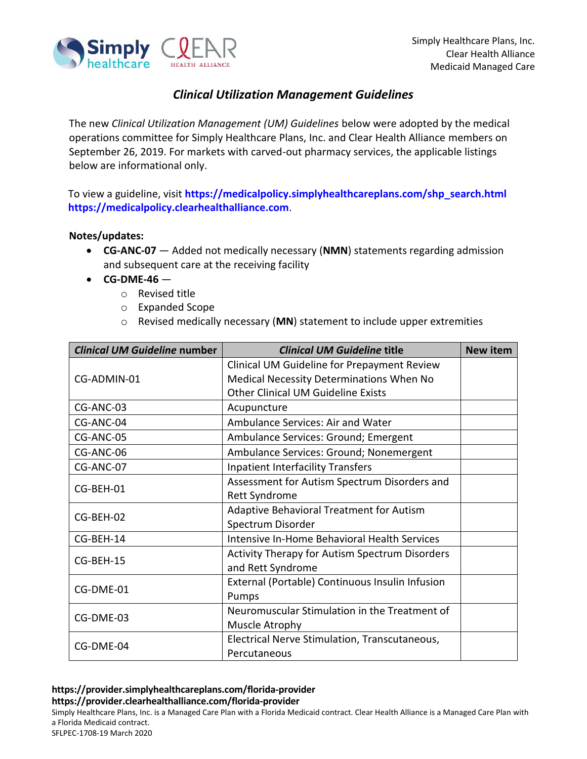

## *Clinical Utilization Management Guidelines*

The new *Clinical Utilization Management (UM) Guidelines* below were adopted by the medical operations committee for Simply Healthcare Plans, Inc. and Clear Health Alliance members on September 26, 2019. For markets with carved-out pharmacy services, the applicable listings below are informational only.

To view a guideline, visit **[https://medicalpolicy.simplyhealthcareplans.com/shp\\_search.html](https://medicalpolicy.simplyhealthcareplans.com/shp_search.html) [https://medicalpolicy.clearhealthalliance.com](https://medicalpolicy.clearhealthalliance.com/)**.

## **Notes/updates:**

- **CG-ANC-07** Added not medically necessary (**NMN**) statements regarding admission and subsequent care at the receiving facility
- **CG-DME-46**
	- o Revised title
	- o Expanded Scope
	- o Revised medically necessary (**MN**) statement to include upper extremities

| <b>Clinical UM Guideline number</b> | <b>Clinical UM Guideline title</b>                    | <b>New item</b> |
|-------------------------------------|-------------------------------------------------------|-----------------|
|                                     | Clinical UM Guideline for Prepayment Review           |                 |
| CG-ADMIN-01                         | Medical Necessity Determinations When No              |                 |
|                                     | <b>Other Clinical UM Guideline Exists</b>             |                 |
| CG-ANC-03                           | Acupuncture                                           |                 |
| CG-ANC-04                           | Ambulance Services: Air and Water                     |                 |
| CG-ANC-05                           | Ambulance Services: Ground; Emergent                  |                 |
| CG-ANC-06                           | Ambulance Services: Ground; Nonemergent               |                 |
| CG-ANC-07                           | <b>Inpatient Interfacility Transfers</b>              |                 |
| CG-BEH-01                           | Assessment for Autism Spectrum Disorders and          |                 |
|                                     | <b>Rett Syndrome</b>                                  |                 |
| CG-BEH-02                           | Adaptive Behavioral Treatment for Autism              |                 |
|                                     | Spectrum Disorder                                     |                 |
| CG-BEH-14                           | Intensive In-Home Behavioral Health Services          |                 |
|                                     | <b>Activity Therapy for Autism Spectrum Disorders</b> |                 |
| CG-BEH-15                           | and Rett Syndrome                                     |                 |
| CG-DME-01                           | External (Portable) Continuous Insulin Infusion       |                 |
|                                     | Pumps                                                 |                 |
| CG-DME-03                           | Neuromuscular Stimulation in the Treatment of         |                 |
|                                     | Muscle Atrophy                                        |                 |
| CG-DME-04                           | Electrical Nerve Stimulation, Transcutaneous,         |                 |
|                                     | Percutaneous                                          |                 |

## **https://provider.simplyhealthcareplans.com/florida-provider https://provider.clearhealthalliance.com/florida-provider**

Simply Healthcare Plans, Inc. is a Managed Care Plan with a Florida Medicaid contract. Clear Health Alliance is a Managed Care Plan with a Florida Medicaid contract.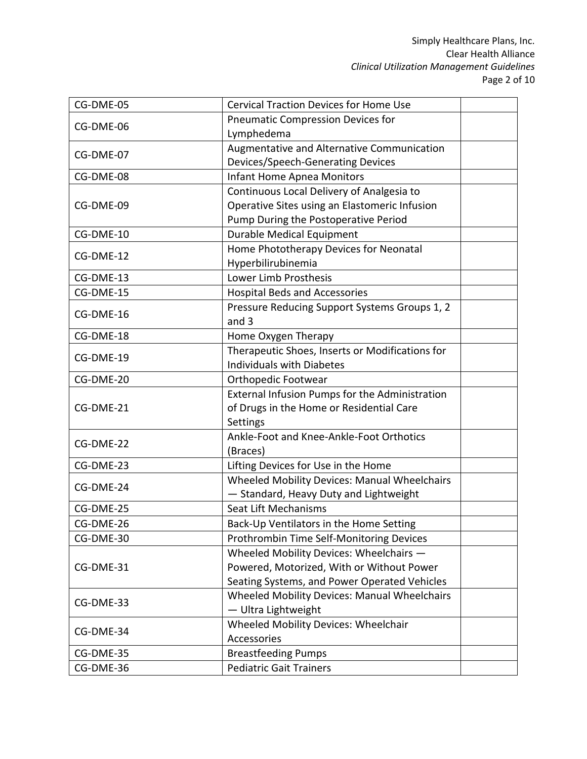| CG-DME-05 | <b>Cervical Traction Devices for Home Use</b>       |  |
|-----------|-----------------------------------------------------|--|
| CG-DME-06 | <b>Pneumatic Compression Devices for</b>            |  |
|           | Lymphedema                                          |  |
| CG-DME-07 | Augmentative and Alternative Communication          |  |
|           | Devices/Speech-Generating Devices                   |  |
| CG-DME-08 | <b>Infant Home Apnea Monitors</b>                   |  |
|           | Continuous Local Delivery of Analgesia to           |  |
| CG-DME-09 | Operative Sites using an Elastomeric Infusion       |  |
|           | Pump During the Postoperative Period                |  |
| CG-DME-10 | <b>Durable Medical Equipment</b>                    |  |
|           | Home Phototherapy Devices for Neonatal              |  |
| CG-DME-12 | Hyperbilirubinemia                                  |  |
| CG-DME-13 | Lower Limb Prosthesis                               |  |
| CG-DME-15 | <b>Hospital Beds and Accessories</b>                |  |
|           | Pressure Reducing Support Systems Groups 1, 2       |  |
| CG-DME-16 | and 3                                               |  |
| CG-DME-18 | Home Oxygen Therapy                                 |  |
|           | Therapeutic Shoes, Inserts or Modifications for     |  |
| CG-DME-19 | <b>Individuals with Diabetes</b>                    |  |
| CG-DME-20 | Orthopedic Footwear                                 |  |
|           | External Infusion Pumps for the Administration      |  |
| CG-DME-21 | of Drugs in the Home or Residential Care            |  |
|           | Settings                                            |  |
| CG-DME-22 | Ankle-Foot and Knee-Ankle-Foot Orthotics            |  |
|           | (Braces)                                            |  |
| CG-DME-23 | Lifting Devices for Use in the Home                 |  |
| CG-DME-24 | <b>Wheeled Mobility Devices: Manual Wheelchairs</b> |  |
|           | - Standard, Heavy Duty and Lightweight              |  |
| CG-DME-25 | Seat Lift Mechanisms                                |  |
| CG-DME-26 | Back-Up Ventilators in the Home Setting             |  |
| CG-DME-30 | Prothrombin Time Self-Monitoring Devices            |  |
|           | Wheeled Mobility Devices: Wheelchairs -             |  |
| CG-DME-31 | Powered, Motorized, With or Without Power           |  |
|           | Seating Systems, and Power Operated Vehicles        |  |
| CG-DME-33 | Wheeled Mobility Devices: Manual Wheelchairs        |  |
|           | - Ultra Lightweight                                 |  |
| CG-DME-34 | Wheeled Mobility Devices: Wheelchair                |  |
|           | Accessories                                         |  |
| CG-DME-35 | <b>Breastfeeding Pumps</b>                          |  |
| CG-DME-36 | <b>Pediatric Gait Trainers</b>                      |  |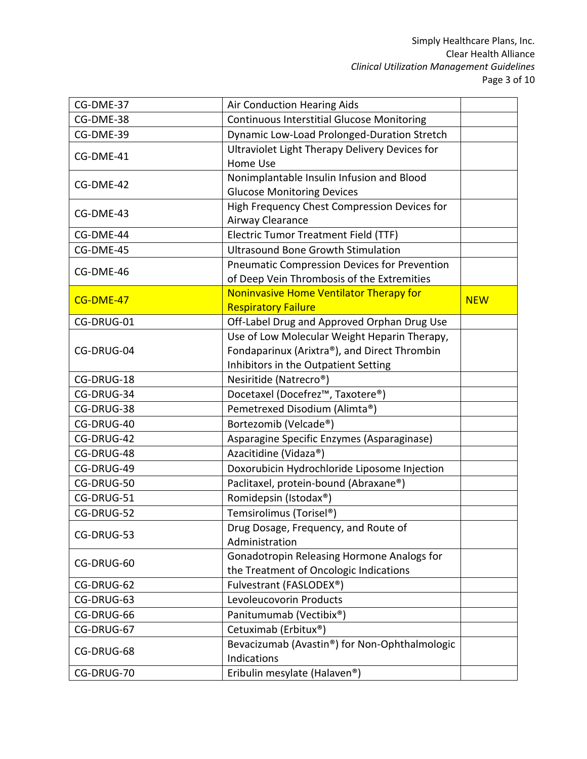| CG-DME-37  | Air Conduction Hearing Aids                         |            |
|------------|-----------------------------------------------------|------------|
| CG-DME-38  | <b>Continuous Interstitial Glucose Monitoring</b>   |            |
| CG-DME-39  | Dynamic Low-Load Prolonged-Duration Stretch         |            |
| CG-DME-41  | Ultraviolet Light Therapy Delivery Devices for      |            |
|            | Home Use                                            |            |
| CG-DME-42  | Nonimplantable Insulin Infusion and Blood           |            |
|            | <b>Glucose Monitoring Devices</b>                   |            |
| CG-DME-43  | High Frequency Chest Compression Devices for        |            |
|            | Airway Clearance                                    |            |
| CG-DME-44  | <b>Electric Tumor Treatment Field (TTF)</b>         |            |
| CG-DME-45  | <b>Ultrasound Bone Growth Stimulation</b>           |            |
| CG-DME-46  | <b>Pneumatic Compression Devices for Prevention</b> |            |
|            | of Deep Vein Thrombosis of the Extremities          |            |
| CG-DME-47  | Noninvasive Home Ventilator Therapy for             | <b>NEW</b> |
|            | <b>Respiratory Failure</b>                          |            |
| CG-DRUG-01 | Off-Label Drug and Approved Orphan Drug Use         |            |
|            | Use of Low Molecular Weight Heparin Therapy,        |            |
| CG-DRUG-04 | Fondaparinux (Arixtra®), and Direct Thrombin        |            |
|            | Inhibitors in the Outpatient Setting                |            |
| CG-DRUG-18 | Nesiritide (Natrecro <sup>®</sup> )                 |            |
| CG-DRUG-34 | Docetaxel (Docefrez™, Taxotere®)                    |            |
| CG-DRUG-38 | Pemetrexed Disodium (Alimta®)                       |            |
| CG-DRUG-40 | Bortezomib (Velcade®)                               |            |
| CG-DRUG-42 | Asparagine Specific Enzymes (Asparaginase)          |            |
| CG-DRUG-48 | Azacitidine (Vidaza®)                               |            |
| CG-DRUG-49 | Doxorubicin Hydrochloride Liposome Injection        |            |
| CG-DRUG-50 | Paclitaxel, protein-bound (Abraxane®)               |            |
| CG-DRUG-51 | Romidepsin (Istodax®)                               |            |
| CG-DRUG-52 | Temsirolimus (Torisel®)                             |            |
|            | Drug Dosage, Frequency, and Route of                |            |
| CG-DRUG-53 | Administration                                      |            |
|            | Gonadotropin Releasing Hormone Analogs for          |            |
| CG-DRUG-60 | the Treatment of Oncologic Indications              |            |
| CG-DRUG-62 | Fulvestrant (FASLODEX®)                             |            |
| CG-DRUG-63 | Levoleucovorin Products                             |            |
| CG-DRUG-66 | Panitumumab (Vectibix®)                             |            |
| CG-DRUG-67 | Cetuximab (Erbitux <sup>®</sup> )                   |            |
|            | Bevacizumab (Avastin®) for Non-Ophthalmologic       |            |
| CG-DRUG-68 | Indications                                         |            |
| CG-DRUG-70 | Eribulin mesylate (Halaven®)                        |            |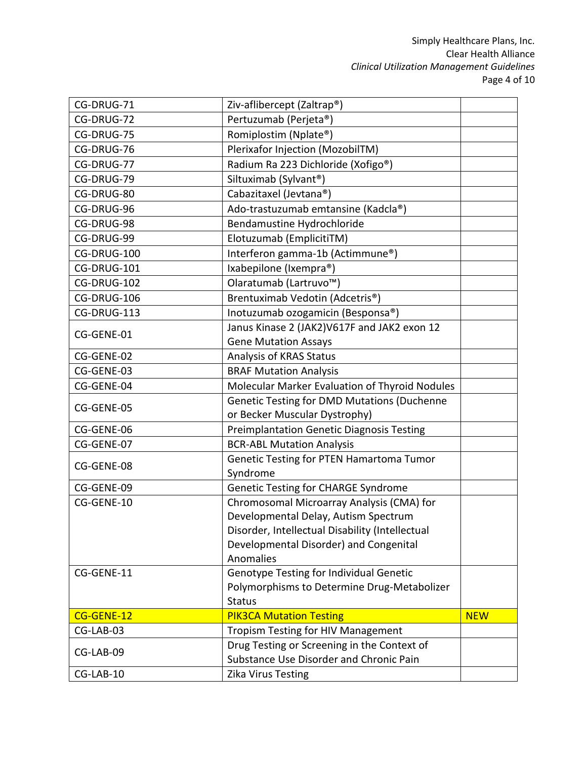| CG-DRUG-71  | Ziv-aflibercept (Zaltrap®)                       |            |
|-------------|--------------------------------------------------|------------|
| CG-DRUG-72  | Pertuzumab (Perjeta®)                            |            |
| CG-DRUG-75  | Romiplostim (Nplate®)                            |            |
| CG-DRUG-76  | Plerixafor Injection (MozobilTM)                 |            |
| CG-DRUG-77  | Radium Ra 223 Dichloride (Xofigo®)               |            |
| CG-DRUG-79  | Siltuximab (Sylvant®)                            |            |
| CG-DRUG-80  | Cabazitaxel (Jevtana®)                           |            |
| CG-DRUG-96  | Ado-trastuzumab emtansine (Kadcla®)              |            |
| CG-DRUG-98  | Bendamustine Hydrochloride                       |            |
| CG-DRUG-99  | Elotuzumab (EmplicitiTM)                         |            |
| CG-DRUG-100 | Interferon gamma-1b (Actimmune®)                 |            |
| CG-DRUG-101 | Ixabepilone (Ixempra®)                           |            |
| CG-DRUG-102 | Olaratumab (Lartruvo <sup>™</sup> )              |            |
| CG-DRUG-106 | Brentuximab Vedotin (Adcetris <sup>®</sup> )     |            |
| CG-DRUG-113 | Inotuzumab ozogamicin (Besponsa®)                |            |
|             | Janus Kinase 2 (JAK2)V617F and JAK2 exon 12      |            |
| CG-GENE-01  | <b>Gene Mutation Assays</b>                      |            |
| CG-GENE-02  | Analysis of KRAS Status                          |            |
| CG-GENE-03  | <b>BRAF Mutation Analysis</b>                    |            |
| CG-GENE-04  | Molecular Marker Evaluation of Thyroid Nodules   |            |
| CG-GENE-05  | Genetic Testing for DMD Mutations (Duchenne      |            |
|             | or Becker Muscular Dystrophy)                    |            |
| CG-GENE-06  | <b>Preimplantation Genetic Diagnosis Testing</b> |            |
| CG-GENE-07  | <b>BCR-ABL Mutation Analysis</b>                 |            |
| CG-GENE-08  | Genetic Testing for PTEN Hamartoma Tumor         |            |
|             | Syndrome                                         |            |
| CG-GENE-09  | <b>Genetic Testing for CHARGE Syndrome</b>       |            |
| CG-GENE-10  | Chromosomal Microarray Analysis (CMA) for        |            |
|             | Developmental Delay, Autism Spectrum             |            |
|             | Disorder, Intellectual Disability (Intellectual  |            |
|             | Developmental Disorder) and Congenital           |            |
|             | Anomalies                                        |            |
| CG-GENE-11  | Genotype Testing for Individual Genetic          |            |
|             | Polymorphisms to Determine Drug-Metabolizer      |            |
|             | <b>Status</b>                                    |            |
| CG-GENE-12  | <b>PIK3CA Mutation Testing</b>                   | <b>NEW</b> |
| CG-LAB-03   | <b>Tropism Testing for HIV Management</b>        |            |
| CG-LAB-09   | Drug Testing or Screening in the Context of      |            |
|             | Substance Use Disorder and Chronic Pain          |            |
| CG-LAB-10   | Zika Virus Testing                               |            |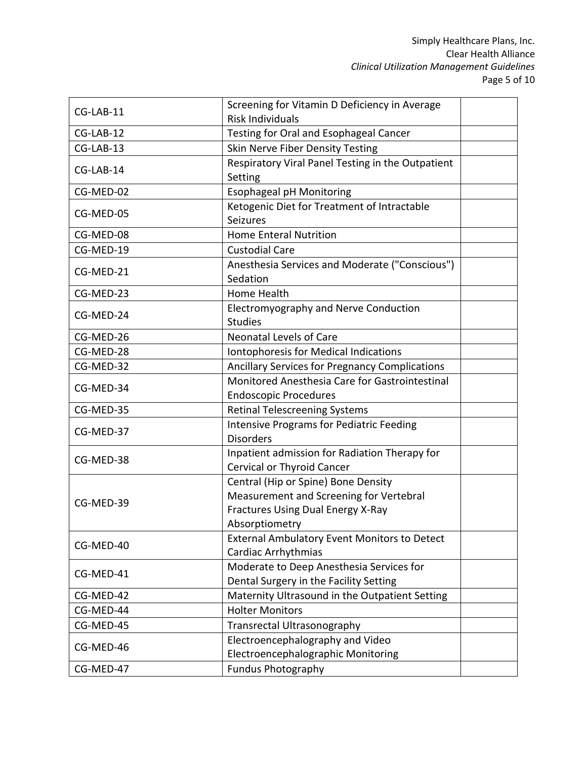| CG-LAB-11 | Screening for Vitamin D Deficiency in Average                                      |  |
|-----------|------------------------------------------------------------------------------------|--|
|           | <b>Risk Individuals</b>                                                            |  |
| CG-LAB-12 | Testing for Oral and Esophageal Cancer                                             |  |
| CG-LAB-13 | Skin Nerve Fiber Density Testing                                                   |  |
| CG-LAB-14 | Respiratory Viral Panel Testing in the Outpatient                                  |  |
|           | Setting                                                                            |  |
| CG-MED-02 | <b>Esophageal pH Monitoring</b>                                                    |  |
| CG-MED-05 | Ketogenic Diet for Treatment of Intractable<br>Seizures                            |  |
| CG-MED-08 | <b>Home Enteral Nutrition</b>                                                      |  |
| CG-MED-19 | <b>Custodial Care</b>                                                              |  |
| CG-MED-21 | Anesthesia Services and Moderate ("Conscious")<br>Sedation                         |  |
| CG-MED-23 | Home Health                                                                        |  |
| CG-MED-24 | Electromyography and Nerve Conduction<br><b>Studies</b>                            |  |
| CG-MED-26 | <b>Neonatal Levels of Care</b>                                                     |  |
| CG-MED-28 | Iontophoresis for Medical Indications                                              |  |
| CG-MED-32 | <b>Ancillary Services for Pregnancy Complications</b>                              |  |
|           | Monitored Anesthesia Care for Gastrointestinal                                     |  |
| CG-MED-34 | <b>Endoscopic Procedures</b>                                                       |  |
| CG-MED-35 | <b>Retinal Telescreening Systems</b>                                               |  |
| CG-MED-37 | <b>Intensive Programs for Pediatric Feeding</b><br><b>Disorders</b>                |  |
|           |                                                                                    |  |
| CG-MED-38 | Inpatient admission for Radiation Therapy for<br><b>Cervical or Thyroid Cancer</b> |  |
|           |                                                                                    |  |
|           | Central (Hip or Spine) Bone Density<br>Measurement and Screening for Vertebral     |  |
| CG-MED-39 | <b>Fractures Using Dual Energy X-Ray</b>                                           |  |
|           | Absorptiometry                                                                     |  |
|           | <b>External Ambulatory Event Monitors to Detect</b>                                |  |
| CG-MED-40 | Cardiac Arrhythmias                                                                |  |
|           | Moderate to Deep Anesthesia Services for                                           |  |
| CG-MED-41 | Dental Surgery in the Facility Setting                                             |  |
| CG-MED-42 | Maternity Ultrasound in the Outpatient Setting                                     |  |
| CG-MED-44 | <b>Holter Monitors</b>                                                             |  |
| CG-MED-45 | Transrectal Ultrasonography                                                        |  |
|           | Electroencephalography and Video                                                   |  |
| CG-MED-46 | Electroencephalographic Monitoring                                                 |  |
| CG-MED-47 | <b>Fundus Photography</b>                                                          |  |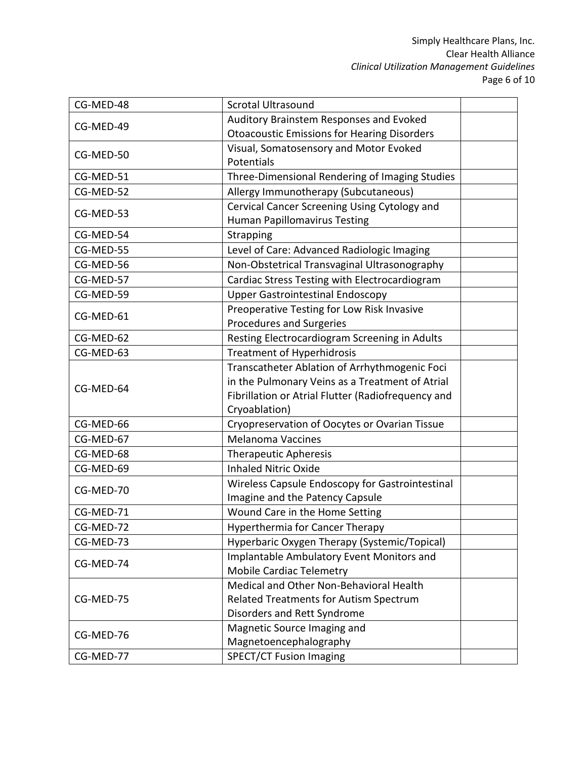| CG-MED-48 | <b>Scrotal Ultrasound</b>                          |  |
|-----------|----------------------------------------------------|--|
| CG-MED-49 | Auditory Brainstem Responses and Evoked            |  |
|           | <b>Otoacoustic Emissions for Hearing Disorders</b> |  |
| CG-MED-50 | Visual, Somatosensory and Motor Evoked             |  |
|           | Potentials                                         |  |
| CG-MED-51 | Three-Dimensional Rendering of Imaging Studies     |  |
| CG-MED-52 | Allergy Immunotherapy (Subcutaneous)               |  |
| CG-MED-53 | Cervical Cancer Screening Using Cytology and       |  |
|           | <b>Human Papillomavirus Testing</b>                |  |
| CG-MED-54 | Strapping                                          |  |
| CG-MED-55 | Level of Care: Advanced Radiologic Imaging         |  |
| CG-MED-56 | Non-Obstetrical Transvaginal Ultrasonography       |  |
| CG-MED-57 | Cardiac Stress Testing with Electrocardiogram      |  |
| CG-MED-59 | <b>Upper Gastrointestinal Endoscopy</b>            |  |
| CG-MED-61 | Preoperative Testing for Low Risk Invasive         |  |
|           | <b>Procedures and Surgeries</b>                    |  |
| CG-MED-62 | Resting Electrocardiogram Screening in Adults      |  |
| CG-MED-63 | <b>Treatment of Hyperhidrosis</b>                  |  |
|           | Transcatheter Ablation of Arrhythmogenic Foci      |  |
| CG-MED-64 | in the Pulmonary Veins as a Treatment of Atrial    |  |
|           | Fibrillation or Atrial Flutter (Radiofrequency and |  |
|           | Cryoablation)                                      |  |
| CG-MED-66 | Cryopreservation of Oocytes or Ovarian Tissue      |  |
| CG-MED-67 | <b>Melanoma Vaccines</b>                           |  |
| CG-MED-68 | <b>Therapeutic Apheresis</b>                       |  |
| CG-MED-69 | <b>Inhaled Nitric Oxide</b>                        |  |
| CG-MED-70 | Wireless Capsule Endoscopy for Gastrointestinal    |  |
|           | Imagine and the Patency Capsule                    |  |
| CG-MED-71 | Wound Care in the Home Setting                     |  |
| CG-MED-72 | Hyperthermia for Cancer Therapy                    |  |
| CG-MED-73 | Hyperbaric Oxygen Therapy (Systemic/Topical)       |  |
| CG-MED-74 | Implantable Ambulatory Event Monitors and          |  |
|           | <b>Mobile Cardiac Telemetry</b>                    |  |
|           | Medical and Other Non-Behavioral Health            |  |
| CG-MED-75 | Related Treatments for Autism Spectrum             |  |
|           | Disorders and Rett Syndrome                        |  |
| CG-MED-76 | Magnetic Source Imaging and                        |  |
|           | Magnetoencephalography                             |  |
| CG-MED-77 | <b>SPECT/CT Fusion Imaging</b>                     |  |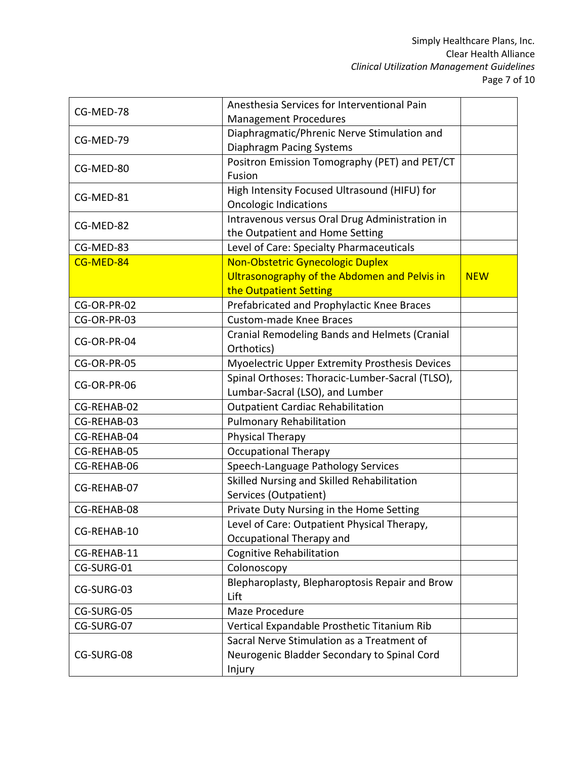| CG-MED-78   | Anesthesia Services for Interventional Pain     |            |
|-------------|-------------------------------------------------|------------|
|             | <b>Management Procedures</b>                    |            |
| CG-MED-79   | Diaphragmatic/Phrenic Nerve Stimulation and     |            |
|             | Diaphragm Pacing Systems                        |            |
| CG-MED-80   | Positron Emission Tomography (PET) and PET/CT   |            |
|             | Fusion                                          |            |
| CG-MED-81   | High Intensity Focused Ultrasound (HIFU) for    |            |
|             | <b>Oncologic Indications</b>                    |            |
| CG-MED-82   | Intravenous versus Oral Drug Administration in  |            |
|             | the Outpatient and Home Setting                 |            |
| CG-MED-83   | Level of Care: Specialty Pharmaceuticals        |            |
| CG-MED-84   | Non-Obstetric Gynecologic Duplex                |            |
|             | Ultrasonography of the Abdomen and Pelvis in    | <b>NEW</b> |
|             | the Outpatient Setting                          |            |
| CG-OR-PR-02 | Prefabricated and Prophylactic Knee Braces      |            |
| CG-OR-PR-03 | <b>Custom-made Knee Braces</b>                  |            |
| CG-OR-PR-04 | Cranial Remodeling Bands and Helmets (Cranial   |            |
|             | Orthotics)                                      |            |
| CG-OR-PR-05 | Myoelectric Upper Extremity Prosthesis Devices  |            |
|             | Spinal Orthoses: Thoracic-Lumber-Sacral (TLSO), |            |
| CG-OR-PR-06 | Lumbar-Sacral (LSO), and Lumber                 |            |
| CG-REHAB-02 | <b>Outpatient Cardiac Rehabilitation</b>        |            |
| CG-REHAB-03 | <b>Pulmonary Rehabilitation</b>                 |            |
| CG-REHAB-04 | Physical Therapy                                |            |
| CG-REHAB-05 | <b>Occupational Therapy</b>                     |            |
| CG-REHAB-06 | Speech-Language Pathology Services              |            |
|             | Skilled Nursing and Skilled Rehabilitation      |            |
| CG-REHAB-07 | Services (Outpatient)                           |            |
| CG-REHAB-08 | Private Duty Nursing in the Home Setting        |            |
|             | Level of Care: Outpatient Physical Therapy,     |            |
| CG-REHAB-10 | Occupational Therapy and                        |            |
| CG-REHAB-11 | <b>Cognitive Rehabilitation</b>                 |            |
| CG-SURG-01  | Colonoscopy                                     |            |
|             | Blepharoplasty, Blepharoptosis Repair and Brow  |            |
| CG-SURG-03  | Lift                                            |            |
| CG-SURG-05  | Maze Procedure                                  |            |
| CG-SURG-07  | Vertical Expandable Prosthetic Titanium Rib     |            |
|             | Sacral Nerve Stimulation as a Treatment of      |            |
| CG-SURG-08  | Neurogenic Bladder Secondary to Spinal Cord     |            |
|             | Injury                                          |            |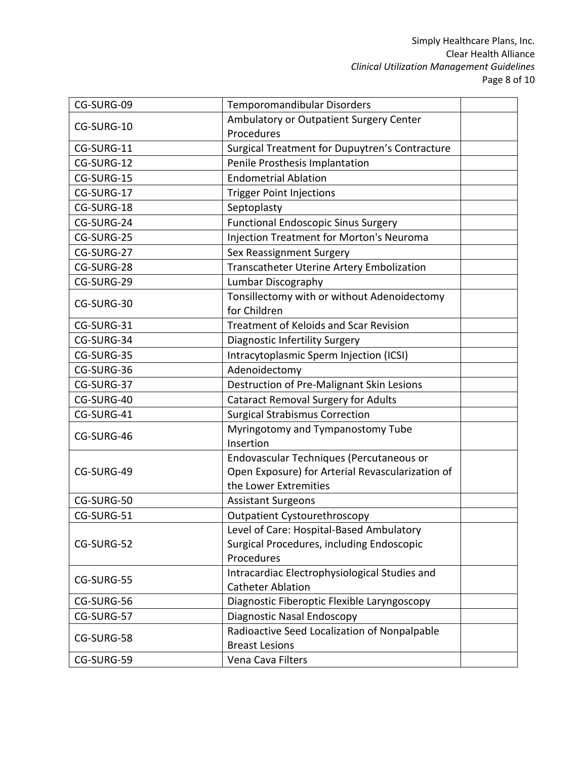| CG-SURG-09 | Temporomandibular Disorders                      |  |
|------------|--------------------------------------------------|--|
| CG-SURG-10 | Ambulatory or Outpatient Surgery Center          |  |
|            | Procedures                                       |  |
| CG-SURG-11 | Surgical Treatment for Dupuytren's Contracture   |  |
| CG-SURG-12 | Penile Prosthesis Implantation                   |  |
| CG-SURG-15 | <b>Endometrial Ablation</b>                      |  |
| CG-SURG-17 | <b>Trigger Point Injections</b>                  |  |
| CG-SURG-18 | Septoplasty                                      |  |
| CG-SURG-24 | <b>Functional Endoscopic Sinus Surgery</b>       |  |
| CG-SURG-25 | <b>Injection Treatment for Morton's Neuroma</b>  |  |
| CG-SURG-27 | Sex Reassignment Surgery                         |  |
| CG-SURG-28 | Transcatheter Uterine Artery Embolization        |  |
| CG-SURG-29 | Lumbar Discography                               |  |
|            | Tonsillectomy with or without Adenoidectomy      |  |
| CG-SURG-30 | for Children                                     |  |
| CG-SURG-31 | <b>Treatment of Keloids and Scar Revision</b>    |  |
| CG-SURG-34 | Diagnostic Infertility Surgery                   |  |
| CG-SURG-35 | Intracytoplasmic Sperm Injection (ICSI)          |  |
| CG-SURG-36 | Adenoidectomy                                    |  |
| CG-SURG-37 | Destruction of Pre-Malignant Skin Lesions        |  |
| CG-SURG-40 | <b>Cataract Removal Surgery for Adults</b>       |  |
| CG-SURG-41 | <b>Surgical Strabismus Correction</b>            |  |
|            | Myringotomy and Tympanostomy Tube                |  |
| CG-SURG-46 | Insertion                                        |  |
|            | Endovascular Techniques (Percutaneous or         |  |
| CG-SURG-49 | Open Exposure) for Arterial Revascularization of |  |
|            | the Lower Extremities                            |  |
| CG-SURG-50 | <b>Assistant Surgeons</b>                        |  |
| CG-SURG-51 | <b>Outpatient Cystourethroscopy</b>              |  |
|            | Level of Care: Hospital-Based Ambulatory         |  |
| CG-SURG-52 | Surgical Procedures, including Endoscopic        |  |
|            | Procedures                                       |  |
| CG-SURG-55 | Intracardiac Electrophysiological Studies and    |  |
|            | <b>Catheter Ablation</b>                         |  |
| CG-SURG-56 | Diagnostic Fiberoptic Flexible Laryngoscopy      |  |
| CG-SURG-57 | Diagnostic Nasal Endoscopy                       |  |
| CG-SURG-58 | Radioactive Seed Localization of Nonpalpable     |  |
|            | <b>Breast Lesions</b>                            |  |
| CG-SURG-59 | Vena Cava Filters                                |  |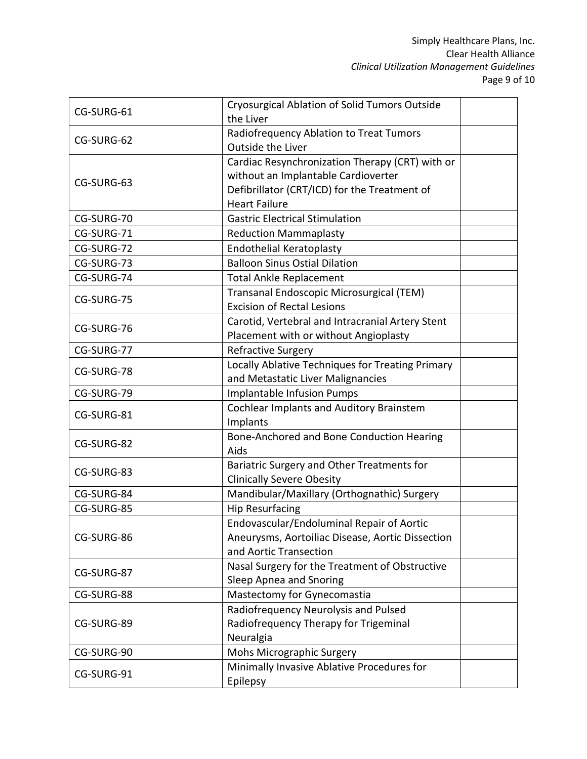| CG-SURG-61 | Cryosurgical Ablation of Solid Tumors Outside<br>the Liver                                                                                                     |  |
|------------|----------------------------------------------------------------------------------------------------------------------------------------------------------------|--|
| CG-SURG-62 | Radiofrequency Ablation to Treat Tumors<br>Outside the Liver                                                                                                   |  |
| CG-SURG-63 | Cardiac Resynchronization Therapy (CRT) with or<br>without an Implantable Cardioverter<br>Defibrillator (CRT/ICD) for the Treatment of<br><b>Heart Failure</b> |  |
| CG-SURG-70 | <b>Gastric Electrical Stimulation</b>                                                                                                                          |  |
| CG-SURG-71 | <b>Reduction Mammaplasty</b>                                                                                                                                   |  |
| CG-SURG-72 | <b>Endothelial Keratoplasty</b>                                                                                                                                |  |
| CG-SURG-73 | <b>Balloon Sinus Ostial Dilation</b>                                                                                                                           |  |
| CG-SURG-74 | <b>Total Ankle Replacement</b>                                                                                                                                 |  |
| CG-SURG-75 | Transanal Endoscopic Microsurgical (TEM)<br><b>Excision of Rectal Lesions</b>                                                                                  |  |
| CG-SURG-76 | Carotid, Vertebral and Intracranial Artery Stent<br>Placement with or without Angioplasty                                                                      |  |
| CG-SURG-77 | <b>Refractive Surgery</b>                                                                                                                                      |  |
| CG-SURG-78 | Locally Ablative Techniques for Treating Primary<br>and Metastatic Liver Malignancies                                                                          |  |
| CG-SURG-79 | Implantable Infusion Pumps                                                                                                                                     |  |
| CG-SURG-81 | <b>Cochlear Implants and Auditory Brainstem</b><br>Implants                                                                                                    |  |
| CG-SURG-82 | Bone-Anchored and Bone Conduction Hearing<br>Aids                                                                                                              |  |
| CG-SURG-83 | Bariatric Surgery and Other Treatments for<br><b>Clinically Severe Obesity</b>                                                                                 |  |
| CG-SURG-84 | Mandibular/Maxillary (Orthognathic) Surgery                                                                                                                    |  |
| CG-SURG-85 | <b>Hip Resurfacing</b>                                                                                                                                         |  |
| CG-SURG-86 | Endovascular/Endoluminal Repair of Aortic<br>Aneurysms, Aortoiliac Disease, Aortic Dissection<br>and Aortic Transection                                        |  |
| CG-SURG-87 | Nasal Surgery for the Treatment of Obstructive<br>Sleep Apnea and Snoring                                                                                      |  |
| CG-SURG-88 | Mastectomy for Gynecomastia                                                                                                                                    |  |
| CG-SURG-89 | Radiofrequency Neurolysis and Pulsed<br>Radiofrequency Therapy for Trigeminal<br>Neuralgia                                                                     |  |
| CG-SURG-90 | Mohs Micrographic Surgery                                                                                                                                      |  |
| CG-SURG-91 | Minimally Invasive Ablative Procedures for<br>Epilepsy                                                                                                         |  |